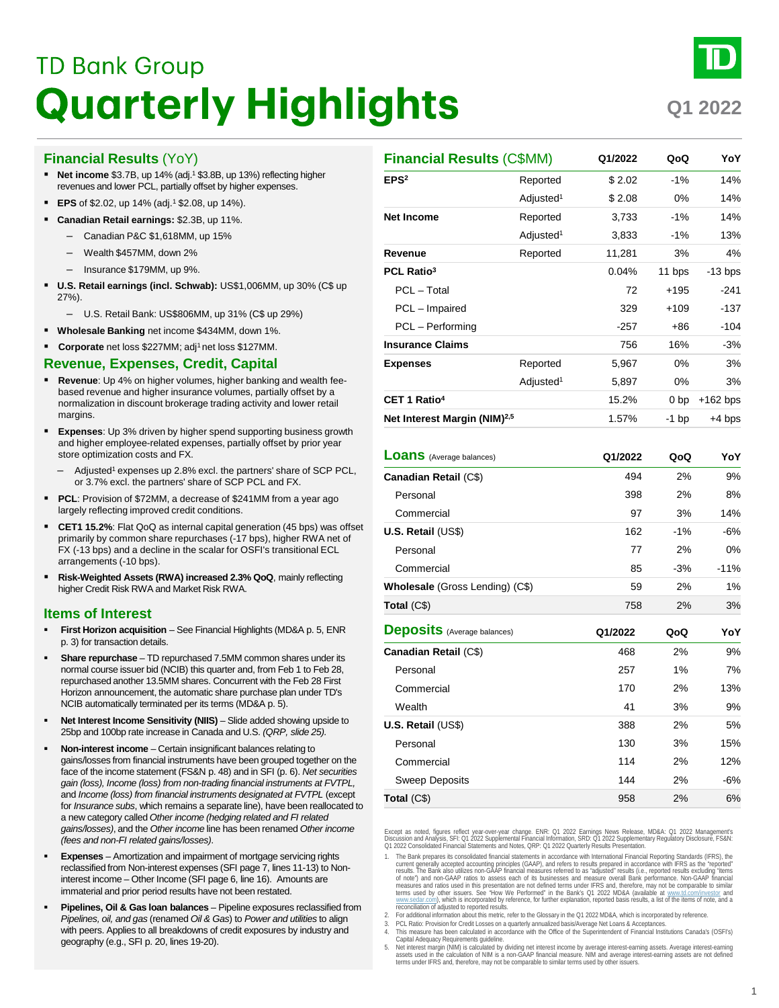# **TD Bank Group Quarterly Highlights**

**Q1 2022**

# **Financial Results** (YoY)

- **Net income** \$3.7B, up 14% (adj.1 \$3.8B, up 13%) reflecting higher revenues and lower PCL, partially offset by higher expenses.
- **EPS** of \$2.02, up 14% (adj.<sup>1</sup> \$2.08, up 14%).
- **Canadian Retail earnings:** \$2.3B, up 11%.
	- Canadian P&C \$1,618MM, up 15%
	- Wealth \$457MM, down 2%
	- Insurance \$179MM, up 9%.
- **U.S. Retail earnings (incl. Schwab):** US\$1,006MM, up 30% (C\$ up 27%).
	- U.S. Retail Bank: US\$806MM, up 31% (C\$ up 29%)
- **Wholesale Banking** net income \$434MM, down 1%.
- **Corporate** net loss \$227MM; adj<sup>1</sup> net loss \$127MM.

# **Revenue, Expenses, Credit, Capital**

- **Revenue**: Up 4% on higher volumes, higher banking and wealth feebased revenue and higher insurance volumes, partially offset by a normalization in discount brokerage trading activity and lower retail margins.
- **Expenses**: Up 3% driven by higher spend supporting business growth and higher employee-related expenses, partially offset by prior year store optimization costs and FX.
	- Adjusted<sup>1</sup> expenses up 2.8% excl. the partners' share of SCP PCL, or 3.7% excl. the partners' share of SCP PCL and FX.
- **PCL**: Provision of \$72MM, a decrease of \$241MM from a year ago largely reflecting improved credit conditions.
- **CET1 15.2%**: Flat QoQ as internal capital generation (45 bps) was offset primarily by common share repurchases (-17 bps), higher RWA net of FX (-13 bps) and a decline in the scalar for OSFI's transitional ECL arrangements (-10 bps).
- **Risk-Weighted Assets (RWA) increased 2.3% QoQ**, mainly reflecting higher Credit Risk RWA and Market Risk RWA.

# **Items of Interest**

- **First Horizon acquisition**  See Financial Highlights (MD&A p. 5, ENR p. 3) for transaction details.
- **Share repurchase**  TD repurchased 7.5MM common shares under its normal course issuer bid (NCIB) this quarter and, from Feb 1 to Feb 28, repurchased another 13.5MM shares. Concurrent with the Feb 28 First Horizon announcement, the automatic share purchase plan under TD's NCIB automatically terminated per its terms (MD&A p. 5).
- **Net Interest Income Sensitivity (NIIS)** Slide added showing upside to 25bp and 100bp rate increase in Canada and U.S. *(QRP, slide 25).*
- **Non-interest income**  Certain insignificant balances relating to gains/losses from financial instruments have been grouped together on the face of the income statement (FS&N p. 48) and in SFI (p. 6). *Net securities gain (loss), Income (loss) from non-trading financial instruments at FVTPL,*  and *Income (loss) from financial instruments designated at FVTPL* (except for *Insurance subs*, which remains a separate line), have been reallocated to a new category called *Other income (hedging related and FI related gains/losses)*, and the *Other income* line has been renamed *Other income (fees and non-FI related gains/losses)*.
- **Expenses**  Amortization and impairment of mortgage servicing rights reclassified from Non-interest expenses (SFI page 7, lines 11-13) to Noninterest income – Other Income (SFI page 6, line 16). Amounts are immaterial and prior period results have not been restated.
- **Pipelines, Oil & Gas loan balances**  Pipeline exposures reclassified from *Pipelines, oil, and gas* (renamed *Oil & Gas*) to *Power and utilities* to align with peers. Applies to all breakdowns of credit exposures by industry and geography (e.g., SFI p. 20, lines 19-20).

| <b>Financial Results (C\$MM)</b>         |                       | Q1/2022 | QoQ             | YoY        |
|------------------------------------------|-----------------------|---------|-----------------|------------|
| EPS <sup>2</sup>                         | Reported              | \$2.02  | $-1%$           | 14%        |
|                                          | Adjusted <sup>1</sup> | \$2.08  | 0%              | 14%        |
| <b>Net Income</b>                        | Reported              | 3,733   | $-1%$           | 14%        |
|                                          | Adjusted <sup>1</sup> | 3,833   | $-1%$           | 13%        |
| Revenue                                  | Reported              | 11,281  | 3%              | 4%         |
| PCL Ratio <sup>3</sup>                   |                       | 0.04%   | 11 bps          | $-13$ bps  |
| PCL - Total                              |                       | 72      | $+195$          | $-241$     |
| PCL - Impaired                           |                       | 329     | $+109$          | $-137$     |
| PCL - Performing                         |                       | -257    | +86             | -104       |
| <b>Insurance Claims</b>                  |                       | 756     | 16%             | $-3%$      |
| <b>Expenses</b>                          | Reported              | 5,967   | 0%              | 3%         |
|                                          | Adjusted <sup>1</sup> | 5,897   | 0%              | 3%         |
| CET 1 Ratio <sup>4</sup>                 |                       | 15.2%   | 0 <sub>bp</sub> | $+162$ bps |
| Net Interest Margin (NIM) <sup>2,5</sup> |                       | 1.57%   | $-1$ bp         | $+4$ bps   |
| <b>Loans</b> (Average balances)          |                       | Q1/2022 | QoQ             | YoY        |
| Canadian Retail (C\$)                    |                       | 494     | 2%              | 9%         |
| Personal                                 |                       | 398     | 2%              | 8%         |
| Commercial                               |                       | 97      | 3%              | 14%        |
| U.S. Retail (US\$)                       |                       | 162     | $-1%$           | -6%        |
| Personal                                 |                       | 77      | 2%              | 0%         |
| Commercial                               |                       | 85      | $-3%$           | $-11%$     |
| Wholesale (Gross Lending) (C\$)          |                       | 59      | 2%              | 1%         |
| Total (C\$)                              |                       | 758     | 2%              | 3%         |
| <b>Deposits</b> (Average balances)       |                       | Q1/2022 | QoQ             | YoY        |
| Canadian Retail (C\$)                    |                       | 468     | 2%              | 9%         |
| Personal                                 |                       | 257     | 1%              | 7%         |
| Commercial                               |                       | 170     | 2%              | 13%        |
| Wealth                                   |                       | 41      | 3%              | $9\%$      |
| U.S. Retail (US\$)                       |                       | 388     | 2%              | 5%         |
| Personal                                 |                       | 130     | 3%              | 15%        |
| Commercial                               |                       | 114     | 2%              | 12%        |
| Sweep Deposits                           |                       | 144     | 2%              | $-6%$      |
| Total $(C$)$                             |                       | 958     | 2%              | 6%         |

Except as noted, figures reflect year-over-year change. ENR: 01 2022 Earnings News Release, MD&A: 01 2022 Management's<br>Discussion and Analysis, SFI: 01 2022 Supplemental Financial Information, SRD: 01 2022 Supplementary Re

- 1. The Bank prepares its consolidated financial statements in accordance with International Financial Reporting Standards (IFRS), the current generally accepted accounting principles (GAAP), and refers to exported the repo of note<sup>)</sup> and non-GAAP ratios to assess each of its businesses and measure overall Bank performance. Non-GAAP financial<br>measures and ratios used in this presentation are not defined terms under IFRS and, therefore, may no
- 2. For additional information about this metric, refer to the Glossary in the Q1 2022 MD&A, which is incorporated by reference.
- 3. PCL Ratio: Provision for Credit Losses on a quarterly annualized basis/Average Net Loans & Acceptances. 4. This measure has been calculated in accordance with the Office of the Superintendent of Financial Institutions Canada's (OSFI's)
- Capital Adequacy Requirements guideline.<br>5. Net interest margin (NIM) is calculated by dividing net interest income by average interest-earning assets. Average interest-earning<br>assets used in the calculation of NIM is a